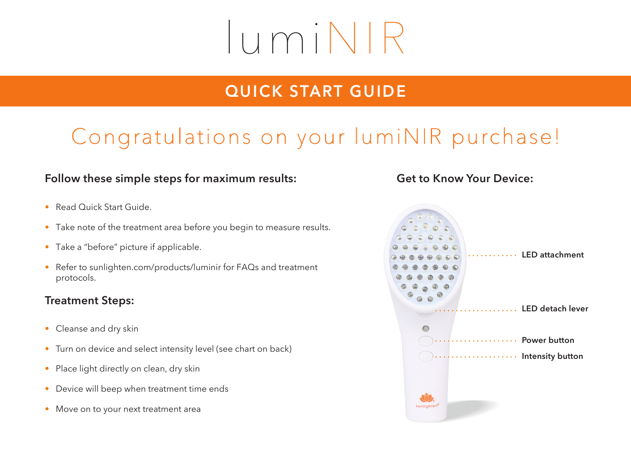# lumiNIR

### **QUICK START GUIDE**

# Congratulations on your lumiNIR purchase!

#### **Follow these simple steps for maximum results:**

- Read Quick Start Guide.
- Take note of the treatment area before you begin to measure results.
- Take a "before" picture if applicable.
- Refer to sunlighten.com/products/luminir for FAQs and treatment protocols.

#### **Treatment Steps:**

- Cleanse and dry skin
- Turn on device and select intensity level (see chart on back)
- Place light directly on clean, dry skin
- Device will beep when treatment time ends
- Move on to your next treatment area

#### **Get to Know Your Device:**